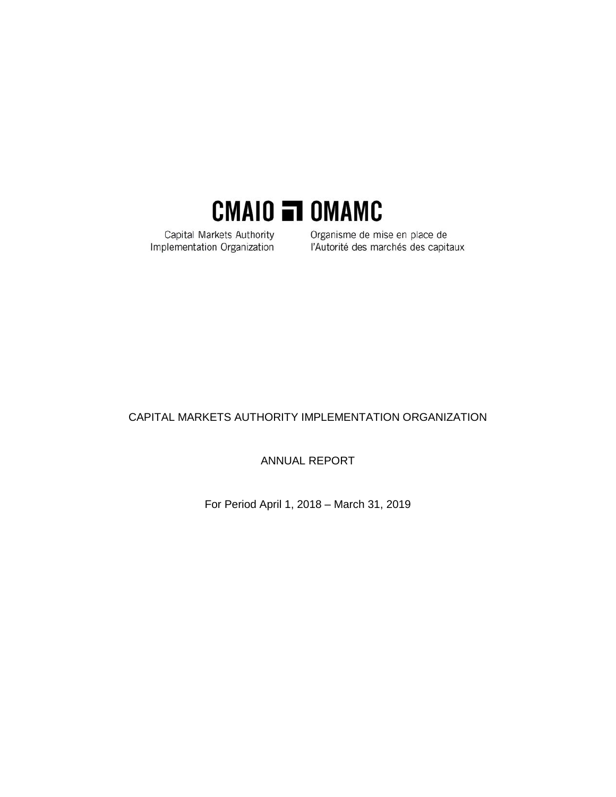

Capital Markets Authority Implementation Organization

Organisme de mise en place de l'Autorité des marchés des capitaux

## CAPITAL MARKETS AUTHORITY IMPLEMENTATION ORGANIZATION

ANNUAL REPORT

For Period April 1, 2018 – March 31, 2019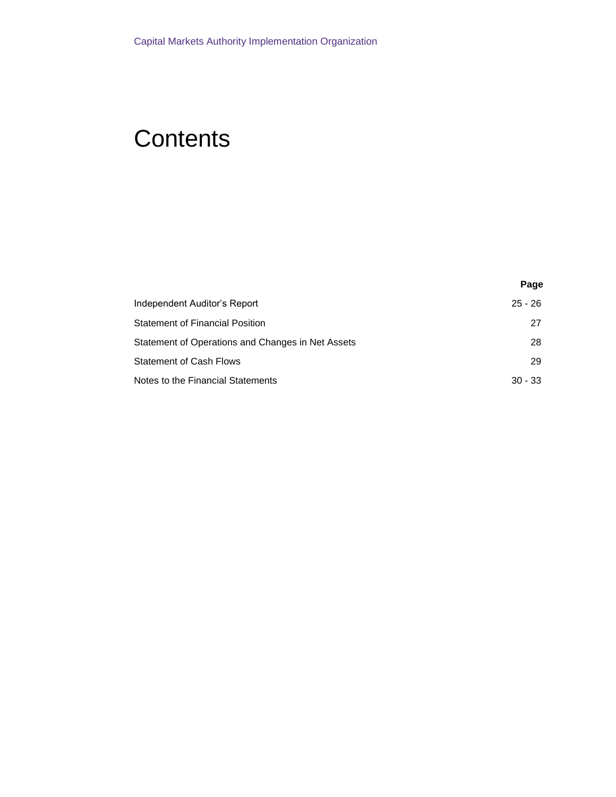## **Contents**

|                                                   | Page      |
|---------------------------------------------------|-----------|
| Independent Auditor's Report                      | $25 - 26$ |
| <b>Statement of Financial Position</b>            | 27        |
| Statement of Operations and Changes in Net Assets | 28        |
| <b>Statement of Cash Flows</b>                    | 29        |
| Notes to the Financial Statements                 | $30 - 33$ |